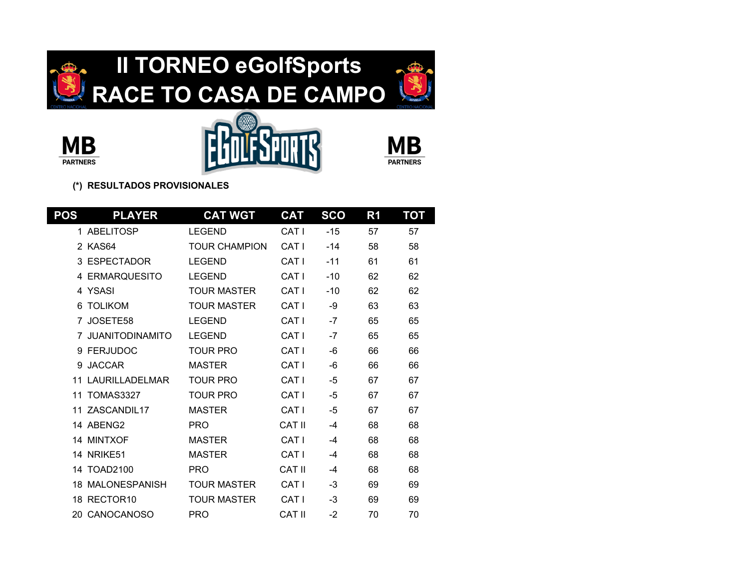







| <b>POS</b> | <b>PLAYER</b>           | <b>CAT WGT</b>     | <b>CAT</b>       | <b>SCO</b> | R <sub>1</sub> | <b>TOT</b> |
|------------|-------------------------|--------------------|------------------|------------|----------------|------------|
|            | 1 ABELITOSP             | <b>LEGEND</b>      | CAT I            | $-15$      | 57             | 57         |
|            | 2 KAS64                 | TOUR CHAMPION      | CAT I            | $-14$      | 58             | 58         |
| 3          | ESPECTADOR              | <b>LEGEND</b>      | CAT I            | $-11$      | 61             | 61         |
|            | 4 ERMARQUESITO          | <b>LEGEND</b>      | CAT <sub>I</sub> | $-10$      | 62             | 62         |
|            | 4 YSASI                 | <b>TOUR MASTER</b> | CAT <sub>I</sub> | $-10$      | 62             | 62         |
| 6          | <b>TOLIKOM</b>          | <b>TOUR MASTER</b> | CAT <sub>I</sub> | -9         | 63             | 63         |
|            | 7 JOSETE58              | <b>LEGEND</b>      | CAT <sub>I</sub> | $-7$       | 65             | 65         |
|            | <b>JUANITODINAMITO</b>  | <b>LEGEND</b>      | CAT <sub>I</sub> | $-7$       | 65             | 65         |
|            | 9 FERJUDOC              | <b>TOUR PRO</b>    | CAT <sub>I</sub> | -6         | 66             | 66         |
| 9          | <b>JACCAR</b>           | <b>MASTER</b>      | CAT I            | -6         | 66             | 66         |
| 11         | LAURILLADELMAR          | <b>TOUR PRO</b>    | CAT I            | -5         | 67             | 67         |
| 11         | <b>TOMAS3327</b>        | TOUR PRO           | CAT I            | -5         | 67             | 67         |
| 11         | ZASCANDIL17             | <b>MASTER</b>      | CAT I            | -5         | 67             | 67         |
|            | 14 ABENG2               | <b>PRO</b>         | <b>CAT II</b>    | -4         | 68             | 68         |
|            | 14 MINTXOF              | <b>MASTER</b>      | CAT <sub>I</sub> | -4         | 68             | 68         |
|            | <b>14 NRIKE51</b>       | <b>MASTER</b>      | CAT <sub>I</sub> | -4         | 68             | 68         |
| 14         | <b>TOAD2100</b>         | <b>PRO</b>         | CAT II           | -4         | 68             | 68         |
|            | <b>18 MALONESPANISH</b> | <b>TOUR MASTER</b> | CAT I            | -3         | 69             | 69         |
|            | 18 RECTOR10             | <b>TOUR MASTER</b> | CAT I            | -3         | 69             | 69         |
|            | 20 CANOCANOSO           | <b>PRO</b>         | CAT II           | $-2$       | 70             | 70         |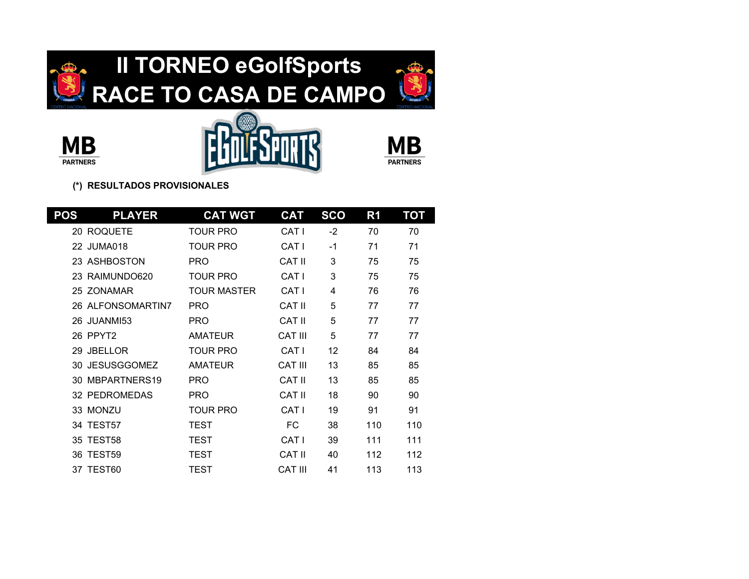







| <b>POS</b> | <b>PLAYER</b>        | <b>CAT WGT</b>     | <b>CAT</b>     | <b>SCO</b> | R <sub>1</sub> | <b>TOT</b> |
|------------|----------------------|--------------------|----------------|------------|----------------|------------|
|            | 20 ROQUETE           | TOUR PRO           | CAT I          | $-2$       | 70             | 70         |
|            | 22 JUMA018           | TOUR PRO           | CAT I          | $-1$       | 71             | 71         |
|            | 23 ASHBOSTON         | <b>PRO</b>         | CAT II         | 3          | 75             | 75         |
|            | 23 RAIMUNDO620       | <b>TOUR PRO</b>    | CAT I          | 3          | 75             | 75         |
|            | 25 ZONAMAR           | <b>TOUR MASTER</b> | CAT I          | 4          | 76             | 76         |
|            | 26 ALFONSOMARTIN7    | <b>PRO</b>         | CAT II         | 5          | 77             | 77         |
|            | 26 JUANMI53          | <b>PRO</b>         | CAT II         | 5          | 77             | 77         |
|            | 26 PPYT2             | <b>AMATEUR</b>     | <b>CAT III</b> | 5          | 77             | 77         |
| 29         | <b>JBELLOR</b>       | <b>TOUR PRO</b>    | CAT I          | 12         | 84             | 84         |
| 30         | <b>JESUSGGOMEZ</b>   | <b>AMATEUR</b>     | CAT III        | 13         | 85             | 85         |
| 30         | MBPARTNERS19         | <b>PRO</b>         | <b>CAT II</b>  | 13         | 85             | 85         |
|            | <b>32 PEDROMEDAS</b> | <b>PRO</b>         | CAT II         | 18         | 90             | 90         |
|            | 33 MONZU             | <b>TOUR PRO</b>    | CAT I          | 19         | 91             | 91         |
|            | 34 TEST57            | TEST               | FC.            | 38         | 110            | 110        |
| 35         | TEST58               | TEST               | CAT I          | 39         | 111            | 111        |
| 36         | TEST59               | <b>TEST</b>        | CAT II         | 40         | 112            | 112        |
|            | 37 TEST60            | TEST               | CAT III        | 41         | 113            | 113        |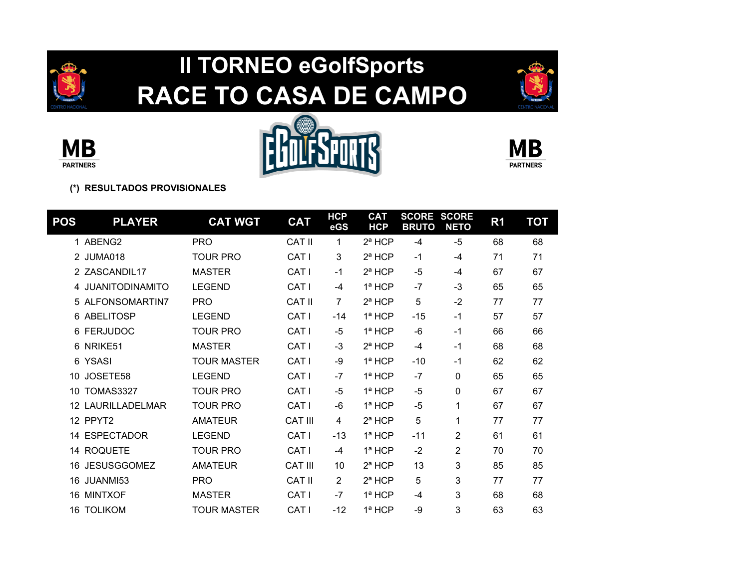

## **II TORNEO eGolfSports RACE TO CASA DE CAMPO**









| <b>POS</b> | <b>PLAYER</b>          | <b>CAT WGT</b>     | <b>CAT</b>       | <b>HCP</b><br>eGS | <b>CAT</b><br><b>HCP</b> | <b>SCORE</b><br><b>BRUTO</b> | <b>SCORE</b><br><b>NETO</b> | R <sub>1</sub> | ТОТ |
|------------|------------------------|--------------------|------------------|-------------------|--------------------------|------------------------------|-----------------------------|----------------|-----|
|            | 1 ABENG2               | <b>PRO</b>         | CAT II           | 1                 | $2^a$ HCP                | $-4$                         | $-5$                        | 68             | 68  |
|            | 2 JUMA018              | <b>TOUR PRO</b>    | CAT I            | 3                 | $2^a$ HCP                | $-1$                         | -4                          | 71             | 71  |
|            | 2 ZASCANDIL17          | <b>MASTER</b>      | CAT I            | $-1$              | $2^a$ HCP                | -5                           | -4                          | 67             | 67  |
| 4          | <b>JUANITODINAMITO</b> | <b>LEGEND</b>      | CAT <sub>I</sub> | -4                | $1a$ HCP                 | $-7$                         | $-3$                        | 65             | 65  |
| 5.         | ALFONSOMARTIN7         | <b>PRO</b>         | <b>CAT II</b>    | 7                 | 2ª HCP                   | 5                            | $-2$                        | 77             | 77  |
| 6          | ABELITOSP              | <b>LEGEND</b>      | CAT I            | $-14$             | $1a$ HCP                 | $-15$                        | $-1$                        | 57             | 57  |
| 6          | <b>FERJUDOC</b>        | <b>TOUR PRO</b>    | CAT I            | $-5$              | 1ª HCP                   | -6                           | $-1$                        | 66             | 66  |
| 6          | NRIKE51                | <b>MASTER</b>      | CAT I            | $-3$              | 2ª HCP                   | $-4$                         | $-1$                        | 68             | 68  |
| 6          | <b>YSASI</b>           | <b>TOUR MASTER</b> | CAT I            | -9                | $1a$ HCP                 | $-10$                        | $-1$                        | 62             | 62  |
| 10         | JOSETE58               | <b>LEGEND</b>      | CAT I            | $-7$              | $1a$ HCP                 | $-7$                         | 0                           | 65             | 65  |
| 10         | <b>TOMAS3327</b>       | <b>TOUR PRO</b>    | CAT I            | $-5$              | 1ª HCP                   | $-5$                         | 0                           | 67             | 67  |
| 12         | <b>LAURILLADELMAR</b>  | <b>TOUR PRO</b>    | CAT <sub>I</sub> | -6                | 1ª HCP                   | $-5$                         | 1                           | 67             | 67  |
|            | 12 PPYT2               | <b>AMATEUR</b>     | <b>CAT III</b>   | 4                 | $2^a$ HCP                | 5                            | 1                           | 77             | 77  |
| 14         | <b>ESPECTADOR</b>      | <b>LEGEND</b>      | CAT I            | $-13$             | $1a$ HCP                 | $-11$                        | $\overline{2}$              | 61             | 61  |
|            | 14 ROQUETE             | <b>TOUR PRO</b>    | CAT <sub>I</sub> | -4                | $1a$ HCP                 | $-2$                         | $\overline{2}$              | 70             | 70  |
| 16         | <b>JESUSGGOMEZ</b>     | <b>AMATEUR</b>     | <b>CAT III</b>   | 10                | $2^a$ HCP                | 13                           | 3                           | 85             | 85  |
| 16         | JUANMI53               | <b>PRO</b>         | <b>CAT II</b>    | 2                 | 2ª HCP                   | 5                            | 3                           | 77             | 77  |
| 16         | <b>MINTXOF</b>         | <b>MASTER</b>      | CAT I            | $-7$              | 1ª HCP                   | -4                           | 3                           | 68             | 68  |
| 16         | <b>TOLIKOM</b>         | TOUR MASTER        | CAT I            | $-12$             | $1a$ HCP                 | -9                           | 3                           | 63             | 63  |